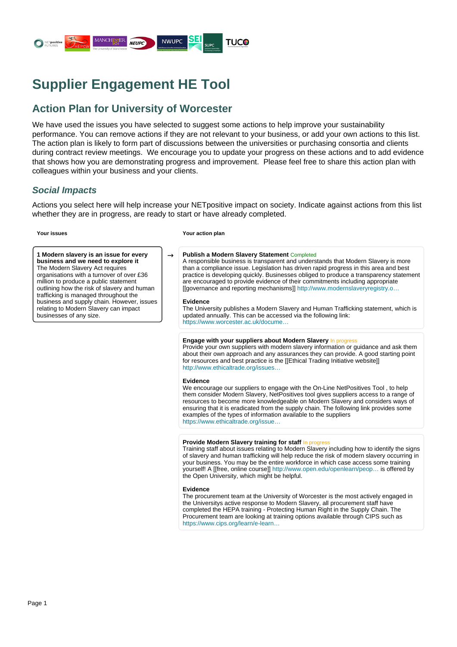

# **Supplier Engagement HE Tool**

# **Action Plan for University of Worcester**

We have used the issues you have selected to suggest some actions to help improve your sustainability performance. You can remove actions if they are not relevant to your business, or add your own actions to this list. The action plan is likely to form part of discussions between the universities or purchasing consortia and clients during contract review meetings. We encourage you to update your progress on these actions and to add evidence that shows how you are demonstrating progress and improvement. Please feel free to share this action plan with colleagues within your business and your clients.

# **Social Impacts**

Actions you select here will help increase your NETpositive impact on society. Indicate against actions from this list whether they are in progress, are ready to start or have already completed.

**1 Modern slavery is an issue for every business and we need to explore it** The Modern Slavery Act requires organisations with a turnover of over £36 million to produce a public statement outlining how the risk of slavery and human trafficking is managed throughout the business and supply chain. However, issues relating to Modern Slavery can impact businesses of any size.

#### **Your issues Your action plan**

# → **Publish a Modern Slavery Statement** Completed

A responsible business is transparent and understands that Modern Slavery is more than a compliance issue. Legislation has driven rapid progress in this area and best practice is developing quickly. Businesses obliged to produce a transparency statement are encouraged to provide evidence of their commitments including appropriate [[governance and reporting mechanisms]] [http://www.modernslaveryregistry.o…](http://www.modernslaveryregistry.org/pages/reporting_guidance)

# **Evidence**

The University publishes a Modern Slavery and Human Trafficking statement, which is updated annually. This can be accessed via the following link: [https://www.worcester.ac.uk/docume…](https://www.worcester.ac.uk/documents/Slavery-and-Human-Trafficking-Statement.pdf)

# **Engage with your suppliers about Modern Slavery In progres**

Provide your own suppliers with modern slavery information or guidance and ask them about their own approach and any assurances they can provide. A good starting point for resources and best practice is the [[Ethical Trading Initiative website]] [http://www.ethicaltrade.org/issues…](http://www.ethicaltrade.org/issues/modern-slavery/modern-slavery-resources)

# **Evidence**

We encourage our suppliers to engage with the On-Line NetPositives Tool , to help them consider Modern Slavery, NetPositives tool gives suppliers access to a range of resources to become more knowledgeable on Modern Slavery and considers ways of ensuring that it is eradicated from the supply chain. The following link provides some examples of the types of information available to the suppliers [https://www.ethicaltrade.org/issue…](https://www.ethicaltrade.org/issues/modern-slavery/modern-slavery-resources)

# **Provide Modern Slavery training for staff** In progress

Training staff about issues relating to Modern Slavery including how to identify the signs of slavery and human trafficking will help reduce the risk of modern slavery occurring in your business. You may be the entire workforce in which case access some training yourself! A [[free, online course]] [http://www.open.edu/openlearn/peop…](http://www.open.edu/openlearn/people-politics-law/the-law/modern-slavery/content-section-0) is offered by the Open University, which might be helpful.

#### **Evidence**

The procurement team at the University of Worcester is the most actively engaged in the Universitys active response to Modern Slavery, all procurement staff have completed the HEPA training - Protecting Human Right in the Supply Chain. The Procurement team are looking at training options available through CIPS such as [https://www.cips.org/learn/e-learn…](https://www.cips.org/learn/e-learning/ethical-procurement-and-supply/)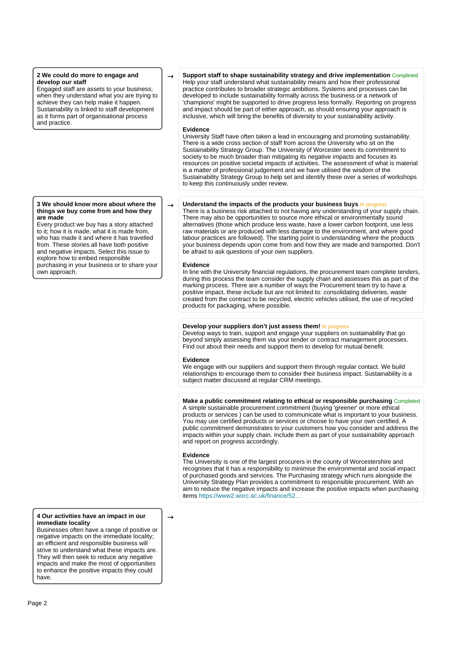# **2 We could do more to engage and develop our staff**

Engaged staff are assets to your business; when they understand what you are trying to achieve they can help make it happen. Sustainability is linked to staff development as it forms part of organisational process and practice.

## **3 We should know more about where the things we buy come from and how they are made**

Every product we buy has a story attached to it; how it is made, what it is made from, who has made it and where it has travelled from. These stories all have both positive and negative impacts. Select this issue to explore how to embed responsible purchasing in your business or to share your own approach.

# **4 Our activities have an impact in our immediate locality**

Businesses often have a range of positive or negative impacts on the immediate locality; an efficient and responsible business will strive to understand what these impacts are. They will then seek to reduce any negative impacts and make the most of opportunities to enhance the positive impacts they could have.

 $\rightarrow$  **Support staff to shape sustainability strategy and drive implementation** Completed Help your staff understand what sustainability means and how their professional practice contributes to broader strategic ambitions. Systems and processes can be developed to include sustainability formally across the business or a network of 'champions' might be supported to drive progress less formally. Reporting on progress and impact should be part of either approach, as should ensuring your approach is inclusive, which will bring the benefits of diversity to your sustainability activity.

#### **Evidence**

University Staff have often taken a lead in encouraging and promoting sustainability. There is a wide cross section of staff from across the University who sit on the Sustainability Strategy Group. The University of Worcester sees its commitment to society to be much broader than mitigating its negative impacts and focuses its resources on positive societal impacts of activities. The assessment of what is material is a matter of professional judgement and we have utilised the wisdom of the Sustainability Strategy Group to help set and identify these over a series of workshops to keep this continuously under review.

# $\rightarrow$  **Understand the impacts of the products your business buys** In progress

There is a business risk attached to not having any understanding of your supply chain. There may also be opportunities to source more ethical or environmentally sound alternatives (those which produce less waste, have a lower carbon footprint, use less raw materials or are produced with less damage to the environment, and where good labour practices are followed). The starting point is understanding where the products your business depends upon come from and how they are made and transported. Don't be afraid to ask questions of your own suppliers.

# **Evidence**

In line with the University financial regulations, the procurement team complete tenders, during this process the team consider the supply chain and assesses this as part of the marking process. There are a number of ways the Procurement team try to have a positive impact, these include but are not limited to: consolidating deliveries, waste created from the contract to be recycled, electric vehicles utilised, the use of recycled products for packaging, where possible.

# **Develop your suppliers don't just assess them!** In progress

Develop ways to train, support and engage your suppliers on sustainability that go beyond simply assessing them via your tender or contract management processes. Find out about their needs and support them to develop for mutual benefit.

# **Evidence**

We engage with our suppliers and support them through regular contact. We build relationships to encourage them to consider their business impact. Sustainability is a subject matter discussed at regular CRM meetings.

# **Make a public commitment relating to ethical or responsible purchasing** Completed

A simple sustainable procurement commitment (buying 'greener' or more ethical products or services ) can be used to communicate what is important to your business. You may use certified products or services or choose to have your own certified. A public commitment demonstrates to your customers how you consider and address the impacts within your supply chain. Include them as part of your sustainability approach and report on progress accordingly.

# **Evidence**

The University is one of the largest procurers in the county of Worcestershire and recognises that it has a responsibility to minimise the environmental and social impact of purchased goods and services. The Purchasing strategy which runs alongside the University Strategy Plan provides a commitment to responsible procurement. With an aim to reduce the negative impacts and increase the positive impacts when purchasing items [https://www2.worc.ac.uk/finance/52…](https://www2.worc.ac.uk/finance/523.htm)

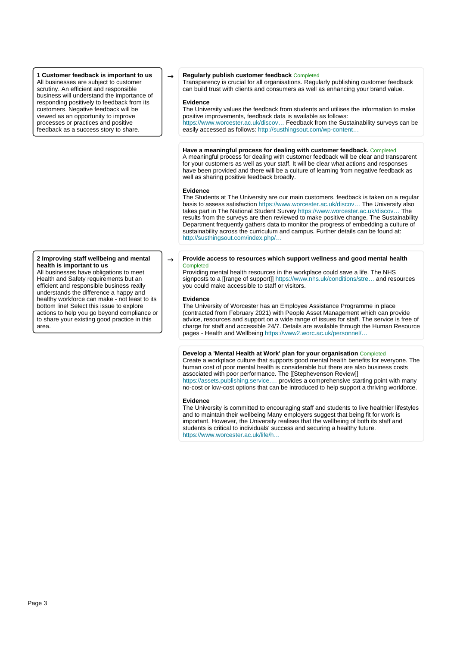**1 Customer feedback is important to us** All businesses are subject to customer scrutiny. An efficient and responsible business will understand the importance of responding positively to feedback from its customers. Negative feedback will be viewed as an opportunity to improve processes or practices and positive feedback as a success story to share.

#### **2 Improving staff wellbeing and mental health is important to us**

All businesses have obligations to meet Health and Safety requirements but an efficient and responsible business really understands the difference a happy and healthy workforce can make - not least to its bottom line! Select this issue to explore actions to help you go beyond compliance or to share your existing good practice in this area.

# → **Regularly publish customer feedback** Completed

Transparency is crucial for all organisations. Regularly publishing customer feedback can build trust with clients and consumers as well as enhancing your brand value.

#### **Evidence**

The University values the feedback from students and utilises the information to make positive improvements, feedback data is available as follows: [https://www.worcester.ac.uk/discov…](https://www.worcester.ac.uk/discover/national-student-survey.html) Feedback from the Sustainability surveys can be easily accessed as follows: http://susthingsout.com/wp-content...

# **Have a meaningful process for dealing with customer feedback.** Completed

A meaningful process for dealing with customer feedback will be clear and transparent for your customers as well as your staff. It will be clear what actions and responses have been provided and there will be a culture of learning from negative feedback as well as sharing positive feedback broadly.

#### **Evidence**

The Students at The University are our main customers, feedback is taken on a regular basis to assess satisfaction [https://www.worcester.ac.uk/discov…](https://www.worcester.ac.uk/discover/student-surveys.html) The University also takes part in The National Student Survey [https://www.worcester.ac.uk/discov…](https://www.worcester.ac.uk/discover/national-student-survey.html) The results from the surveys are then reviewed to make positive change. The Sustainability Department frequently gathers data to monitor the progress of embedding a culture of sustainability across the curriculum and campus. Further details can be found at: [http://susthingsout.com/index.php/…](http://susthingsout.com/index.php/sustainability-and-behaviour-change-at-the-university-of-worcester-2015-17/)

#### $\rightarrow$  **Provide access to resources which support wellness and good mental health** Completed

Providing mental health resources in the workplace could save a life. The NHS signposts to a [[range of support]] https://www.nhs.uk/conditions/stre... and resources you could make accessible to staff or visitors.

#### **Evidence**

The University of Worcester has an Employee Assistance Programme in place (contracted from February 2021) with People Asset Management which can provide advice, resources and support on a wide range of issues for staff. The service is free of charge for staff and accessible 24/7. Details are available through the Human Resource pages - Health and Wellbeing [https://www2.worc.ac.uk/personnel/…](https://www2.worc.ac.uk/personnel/658.htm)

# **Develop a 'Mental Health at Work' plan for your organisation** Completed

Create a workplace culture that supports good mental health benefits for everyone. The human cost of poor mental health is considerable but there are also business costs associated with poor performance. The [[Stephevenson Review]] [https://assets.publishing.service.…](https://assets.publishing.service.gov.uk/government/uploads/system/uploads/attachment_data/file/658145/thriving-at-work-stevenson-farmer-review.pdf) provides a comprehensive starting point with many no-cost or low-cost options that can be introduced to help support a thriving workforce.

#### **Evidence**

The University is committed to encouraging staff and students to live healthier lifestyles and to maintain their wellbeing Many employers suggest that being fit for work is important. However, the University realises that the wellbeing of both its staff and students is critical to individuals' success and securing a healthy future. [https://www.worcester.ac.uk/life/h…](https://www.worcester.ac.uk/life/help-and-support/health-and-wellbeing/)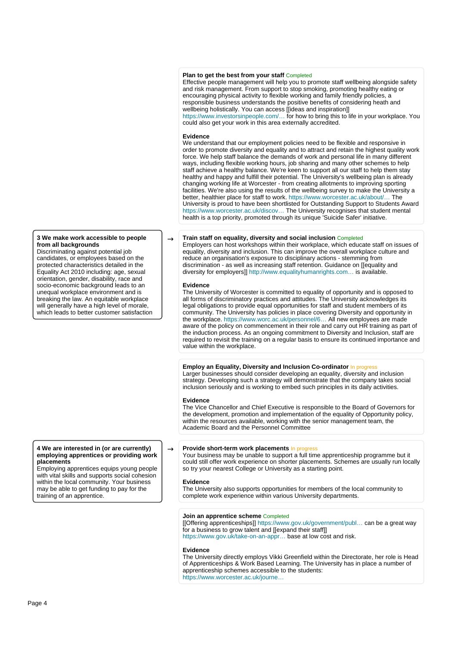# **Plan to get the best from your staff** Completed

Effective people management will help you to promote staff wellbeing alongside safety and risk management. From support to stop smoking, promoting healthy eating or encouraging physical activity to flexible working and family friendly policies, a responsible business understands the positive benefits of considering heath and wellbeing holistically. You can access [[ideas and inspiration]] [https://www.investorsinpeople.com/…](https://www.investorsinpeople.com/resources) for how to bring this to life in your workplace. You could also get your work in this area externally accredited.

#### **Evidence**

We understand that our employment policies need to be flexible and responsive in order to promote diversity and equality and to attract and retain the highest quality work force. We help staff balance the demands of work and personal life in many different ways, including flexible working hours, job sharing and many other schemes to help staff achieve a healthy balance. We're keen to support all our staff to help them stay healthy and happy and fulfill their potential. The University's wellbeing plan is already changing working life at Worcester - from creating allotments to improving sporting facilities. We're also using the results of the wellbeing survey to make the University a better, healthier place for staff to work. [https://www.worcester.ac.uk/about/…](https://www.worcester.ac.uk/about/job-opportunities/) The University is proud to have been shortlisted for Outstanding Support to Students Award [https://www.worcester.ac.uk/discov…](https://www.worcester.ac.uk/discover/university-of-worcester-shortlisted-for-outstanding-support-for-students-award.html) The University recognises that student mental health is a top priority, promoted through its unique 'Suicide Safer' initiative.

## $\rightarrow$  **Train staff on equality, diversity and social inclusion** Completed

Employers can host workshops within their workplace, which educate staff on issues of equality, diversity and inclusion. This can improve the overall workplace culture and reduce an organisation's exposure to disciplinary actions - stemming from discrimination - as well as increasing staff retention. Guidance on [[equality and diversity for employers]] [http://www.equalityhumanrights.com…](http://www.equalityhumanrights.com/uploaded_files/EqualityAct/employers_recruitment.pdf) is available.

#### **Evidence**

The University of Worcester is committed to equality of opportunity and is opposed to all forms of discriminatory practices and attitudes. The University acknowledges its legal obligations to provide equal opportunities for staff and student members of its community. The University has policies in place covering Diversity and opportunity in the workplace. [https://www.worc.ac.uk/personnel/6…](https://www.worc.ac.uk/personnel/655.htm) All new employees are made aware of the policy on commencement in their role and carry out HR training as part of the induction process. As an ongoing commitment to Diversity and Inclusion, staff are required to revisit the training on a regular basis to ensure its continued importance and value within the workplace.

#### **Employ an Equality, Diversity and Inclusion Co-ordinator In progress**

Larger businesses should consider developing an equality, diversity and inclusion strategy. Developing such a strategy will demonstrate that the company takes social inclusion seriously and is working to embed such principles in its daily activities.

#### **Evidence**

The Vice Chancellor and Chief Executive is responsible to the Board of Governors for the development, promotion and implementation of the equality of Opportunity policy, within the resources available, working with the senior management team, the Academic Board and the Personnel Committee

# → **Provide short-term work placements** In progress

Your business may be unable to support a full time apprenticeship programme but it could still offer work experience on shorter placements. Schemes are usually run locally so try your nearest College or University as a starting point.

#### **Evidence**

The University also supports opportunities for members of the local community to complete work experience within various University departments.

## **Join an apprentice scheme** Completed

[[Offering apprenticeships]] [https://www.gov.uk/government/publ…](https://www.gov.uk/government/publications/apprenticeships-guide-for-employers) can be a great way for a business to grow talent and [[expand their staff]] [https://www.gov.uk/take-on-an-appr…](https://www.gov.uk/take-on-an-apprentice/overview) base at low cost and risk.

#### **Evidence**

The University directly employs Vikki Greenfield within the Directorate, her role is Head of Apprenticeships & Work Based Learning. The University has in place a number of apprenticeship schemes accessible to the students: [https://www.worcester.ac.uk/journe…](https://www.worcester.ac.uk/journey/apprenticeships.html)

# **3 We make work accessible to people from all backgrounds**

Discriminating against potential job candidates, or employees based on the protected characteristics detailed in the Equality Act 2010 including: age, sexual orientation, gender, disability, race and socio-economic background leads to an unequal workplace environment and is breaking the law. An equitable workplace will generally have a high level of morale, which leads to better customer satisfaction

#### **4 We are interested in (or are currently) employing apprentices or providing work placements**

Employing apprentices equips young people with vital skills and supports social cohesion within the local community. Your business may be able to get funding to pay for the training of an apprentice.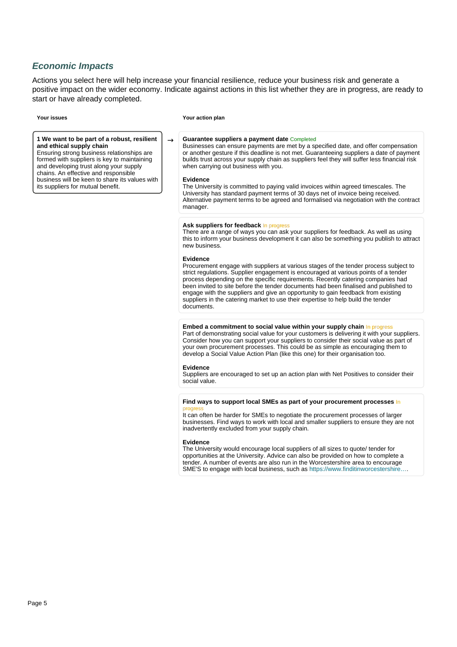# **Economic Impacts**

Actions you select here will help increase your financial resilience, reduce your business risk and generate a positive impact on the wider economy. Indicate against actions in this list whether they are in progress, are ready to start or have already completed.

**1 We want to be part of a robust, resilient and ethical supply chain**

Ensuring strong business relationships are formed with suppliers is key to maintaining and developing trust along your supply chains. An effective and responsible business will be keen to share its values with its suppliers for mutual benefit.

#### **Your issues Your action plan**

# → **Guarantee suppliers a payment date** Completed

Businesses can ensure payments are met by a specified date, and offer compensation or another gesture if this deadline is not met. Guaranteeing suppliers a date of payment builds trust across your supply chain as suppliers feel they will suffer less financial risk when carrying out business with you.

#### **Evidence**

The University is committed to paying valid invoices within agreed timescales. The University has standard payment terms of 30 days net of invoice being received. Alternative payment terms to be agreed and formalised via negotiation with the contract manager.

## Ask suppliers for feedback In progres

There are a range of ways you can ask your suppliers for feedback. As well as using this to inform your business development it can also be something you publish to attract new business.

# **Evidence**

Procurement engage with suppliers at various stages of the tender process subject to strict regulations. Supplier engagement is encouraged at various points of a tender process depending on the specific requirements. Recently catering companies had been invited to site before the tender documents had been finalised and published to engage with the suppliers and give an opportunity to gain feedback from existing suppliers in the catering market to use their expertise to help build the tender documents.

### **Embed a commitment to social value within your supply chain** In progress

Part of demonstrating social value for your customers is delivering it with your suppliers. Consider how you can support your suppliers to consider their social value as part of your own procurement processes. This could be as simple as encouraging them to develop a Social Value Action Plan (like this one) for their organisation too.

# **Evidence**

Suppliers are encouraged to set up an action plan with Net Positives to consider their social value.

#### **Find ways to support local SMEs as part of your procurement processes** In progress

It can often be harder for SMEs to negotiate the procurement processes of larger businesses. Find ways to work with local and smaller suppliers to ensure they are not inadvertently excluded from your supply chain.

# **Evidence**

The University would encourage local suppliers of all sizes to quote/ tender for opportunities at the University. Advice can also be provided on how to complete a tender. A number of events are also run in the Worcestershire area to encourage SME'S to engage with local business, such as [https://www.finditinworcestershire….](https://www.finditinworcestershire.com/)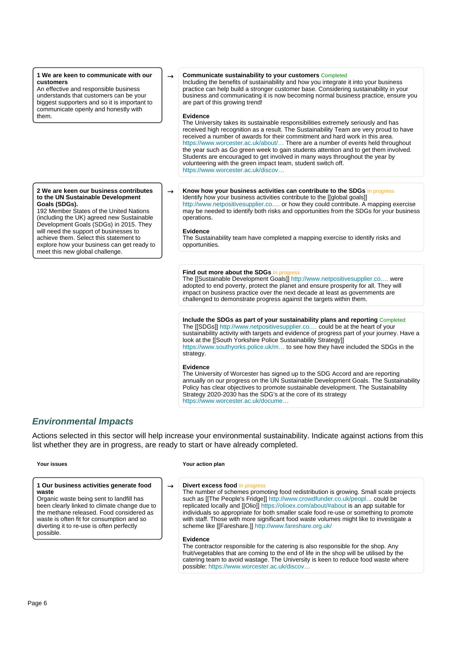## **1 We are keen to communicate with our customers**

An effective and responsible business understands that customers can be your biggest supporters and so it is important to communicate openly and honestly with them.

#### **2 We are keen our business contributes to the UN Sustainable Development Goals (SDGs).**

192 Member States of the United Nations (including the UK) agreed new Sustainable Development Goals (SDGs) in 2015. They will need the support of businesses to achieve them. Select this statement to explore how your business can get ready to meet this new global challenge.

# → **Communicate sustainability to your customers** Completed

Including the benefits of sustainability and how you integrate it into your business practice can help build a stronger customer base. Considering sustainability in your business and communicating it is now becoming normal business practice, ensure you are part of this growing trend!

# **Evidence**

The University takes its sustainable responsibilities extremely seriously and has received high recognition as a result. The Sustainability Team are very proud to have received a number of awards for their commitment and hard work in this area. [https://www.worcester.ac.uk/about/…](https://www.worcester.ac.uk/about/sustainability/sustainability-achievements/sustainability-achievements.aspx) There are a number of events held throughout the year such as Go green week to gain students attention and to get them involved. Students are encouraged to get involved in many ways throughout the year by volunteering with the green impact team, student switch off. [https://www.worcester.ac.uk/discov…](https://www.worcester.ac.uk/discover/sustainability-what-you-can-do.html)

# $\rightarrow$  **Know how your business activities can contribute to the SDGs** In progress

Identify how your business activities contribute to the [[global goals]] [http://www.netpositivesupplier.co.…](http://www.netpositivesupplier.co.uk/wp-content/uploads/2021/02/An-introduction-to-the-SDGs.pdf) or how they could contribute. A mapping exercise may be needed to identify both risks and opportunities from the SDGs for your business operations.

# **Evidence**

The Sustainability team have completed a mapping exercise to identify risks and opportunities.

# **Find out more about the SDGs** In progress

The [[Sustainable Development Goals]] [http://www.netpositivesupplier.co.…](http://www.netpositivesupplier.co.uk/wp-content/uploads/2021/02/An-introduction-to-the-SDGs.pdf) were adopted to end poverty, protect the planet and ensure prosperity for all. They will impact on business practice over the next decade at least as governments are challenged to demonstrate progress against the targets within them.

# **Include the SDGs as part of your sustainability plans and reporting** Completed

The [[SDGs]] [http://www.netpositivesupplier.co.…](http://www.netpositivesupplier.co.uk/wp-content/uploads/2021/02/An-introduction-to-the-SDGs.pdf) could be at the heart of your sustainability activity with targets and evidence of progress part of your journey. Have a look at the [[South Yorkshire Police Sustainability Strategy]] [https://www.southyorks.police.uk/m…](https://www.southyorks.police.uk/media/6282/sustainability-syp_sustainability_strategy_2020_2025.pdf) to see how they have included the SDGs in the strategy.

# **Evidence**

The University of Worcester has signed up to the SDG Accord and are reporting annually on our progress on the UN Sustainable Development Goals. The Sustainability Policy has clear objectives to promote sustainable development. The Sustainability Strategy 2020-2030 has the SDG's at the core of its strategy [https://www.worcester.ac.uk/docume…](https://www.worcester.ac.uk/documents/sustainability-strategy-2030.pdf)

# **Environmental Impacts**

Actions selected in this sector will help increase your environmental sustainability. Indicate against actions from this list whether they are in progress, are ready to start or have already completed.

#### **1 Our business activities generate food waste**

Organic waste being sent to landfill has been clearly linked to climate change due to the methane released. Food considered as waste is often fit for consumption and so diverting it to re-use is often perfectly possible.

#### **Your issues Your action plan**

# → **Divert excess food** In progress

The number of schemes promoting food redistribution is growing. Small scale projects such as [[The People's Fridge]] [http://www.crowdfunder.co.uk/peopl…](http://www.crowdfunder.co.uk/peoples-fridge) could be replicated locally and [[Olio]]<https://olioex.com/about/#about> is an app suitable for individuals so appropriate for both smaller scale food re-use or something to promote with staff. Those with more significant food waste volumes might like to investigate a scheme like [[Fareshare.]]<http://www.fareshare.org.uk/>

#### **Evidence**

The contractor responsible for the catering is also responsible for the shop. Any fruit/vegetables that are coming to the end of life in the shop will be utilised by the catering team to avoid wastage. The University is keen to reduce food waste where possible: [https://www.worcester.ac.uk/discov…](https://www.worcester.ac.uk/discover/sustainable-food.html)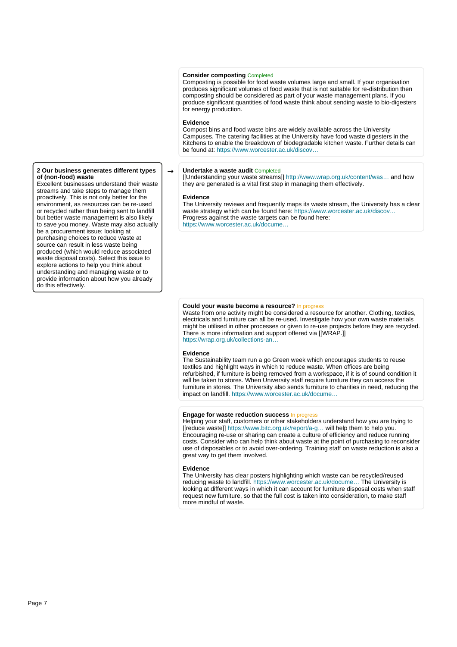# **Consider composting** Completed

Composting is possible for food waste volumes large and small. If your organisation produces significant volumes of food waste that is not suitable for re-distribution then composting should be considered as part of your waste management plans. If you produce significant quantities of food waste think about sending waste to bio-digesters for energy production.

### **Evidence**

Compost bins and food waste bins are widely available across the University Campuses. The catering facilities at the University have food waste digesters in the Kitchens to enable the breakdown of biodegradable kitchen waste. Further details can be found at: [https://www.worcester.ac.uk/discov…](https://www.worcester.ac.uk/discover/sustainable-food.html)

#### → **Undertake a waste audit** Completed

[[Understanding your waste streams]] [http://www.wrap.org.uk/content/was…](http://www.wrap.org.uk/content/waste-mapping-your-route-more-profit) and how they are generated is a vital first step in managing them effectively.

#### **Evidence**

The University reviews and frequently maps its waste stream, the University has a clear waste strategy which can be found here: https://www.worcester.ac.uk/discov... Progress against the waste targets can be found here: [https://www.worcester.ac.uk/docume…](https://www.worcester.ac.uk/documents/Sustainability-targets-2020-2021.pdf)

# **Could your waste become a resource?** In progress

Waste from one activity might be considered a resource for another. Clothing, textiles, electricals and furniture can all be re-used. Investigate how your own waste materials might be utilised in other processes or given to re-use projects before they are recycled. There is more information and support offered via [[WRAP.]] [https://wrap.org.uk/collections-an…](https://wrap.org.uk/collections-and-reprocessing)

#### **Evidence**

The Sustainability team run a go Green week which encourages students to reuse textiles and highlight ways in which to reduce waste. When offices are being refurbished, if furniture is being removed from a workspace, if it is of sound condition it will be taken to stores. When University staff require furniture they can access the furniture in stores. The University also sends furniture to charities in need, reducing the impact on landfill. [https://www.worcester.ac.uk/docume…](https://www.worcester.ac.uk/documents/recycle-reuse-repair-guide.pdf)

#### **Engage for waste reduction success** In progress

Helping your staff, customers or other stakeholders understand how you are trying to [[reduce waste]] [https://www.bitc.org.uk/report/a-g…](https://www.bitc.org.uk/report/a-guide-to-recycling-waste-management-and-resource-productivity/?utm_source=A+Guide+to+Recycling%2C+Waste+Management+and+Resource+Productivity&utm_medium=tools-library&utm_campaign=SMECH) will help them to help you. Encouraging re-use or sharing can create a culture of efficiency and reduce running costs. Consider who can help think about waste at the point of purchasing to reconsider use of disposables or to avoid over-ordering. Training staff on waste reduction is also a great way to get them involved.

#### **Evidence**

The University has clear posters highlighting which waste can be recycled/reused reducing waste to landfill. [https://www.worcester.ac.uk/docume…](https://www.worcester.ac.uk/documents/rubbish-recycling-waste-guide.pdf) The University is looking at different ways in which it can account for furniture disposal costs when staff request new furniture, so that the full cost is taken into consideration, to make staff more mindful of waste.

#### **2 Our business generates different types of (non-food) waste**

Excellent businesses understand their waste streams and take steps to manage them proactively. This is not only better for the environment, as resources can be re-used or recycled rather than being sent to landfill but better waste management is also likely to save you money. Waste may also actually be a procurement issue; looking at purchasing choices to reduce waste at source can result in less waste being produced (which would reduce associated waste disposal costs). Select this issue to explore actions to help you think about understanding and managing waste or to provide information about how you already do this effectively.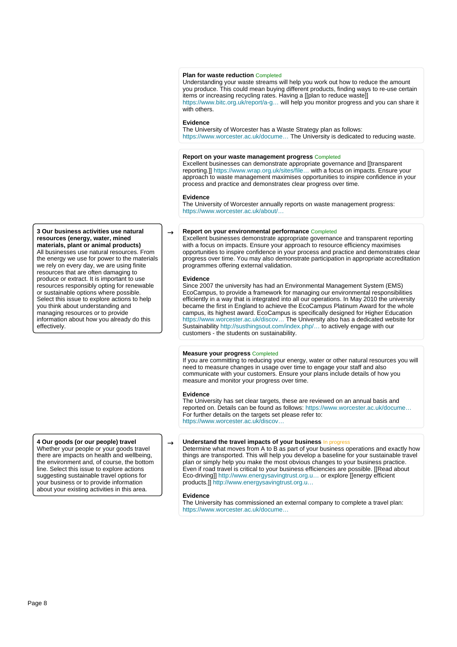# **Plan for waste reduction** Completed

Understanding your waste streams will help you work out how to reduce the amount you produce. This could mean buying different products, finding ways to re-use certain items or increasing recycling rates. Having a [[plan to reduce waste]] [https://www.bitc.org.uk/report/a-g…](https://www.bitc.org.uk/report/a-guide-to-recycling-waste-management-and-resource-productivity/?utm_source=A+Guide+to+Recycling%2C+Waste+Management+and+Resource+Productivity&utm_medium=tools-library&utm_campaign=SMECH) will help you monitor progress and you can share it with others.

# **Evidence**

The University of Worcester has a Waste Strategy plan as follows: https://www.worcester.ac.uk/docume... The University is dedicated to reducing waste.

#### **Report on your waste management progress** Completed

Excellent businesses can demonstrate appropriate governance and [[transparent reporting.]] [https://www.wrap.org.uk/sites/file…](https://www.wrap.org.uk/sites/files/wrap/Reporting%20Guidance.pdf) with a focus on impacts. Ensure your approach to waste management maximises opportunities to inspire confidence in your process and practice and demonstrates clear progress over time.

#### **Evidence**

The University of Worcester annually reports on waste management progress: [https://www.worcester.ac.uk/about/…](https://www.worcester.ac.uk/about/sustainability/what-we-do/waste-management.aspx)

# **Report on your environmental performance Completed**

Excellent businesses demonstrate appropriate governance and transparent reporting with a focus on impacts. Ensure your approach to resource efficiency maximises opportunities to inspire confidence in your process and practice and demonstrates clear progress over time. You may also demonstrate participation in appropriate accreditation programmes offering external validation.

#### **Evidence**

Since 2007 the university has had an Environmental Management System (EMS) EcoCampus, to provide a framework for managing our environmental responsibilities efficiently in a way that is integrated into all our operations. In May 2010 the university became the first in England to achieve the EcoCampus Platinum Award for the whole campus, its highest award. EcoCampus is specifically designed for Higher Education [https://www.worcester.ac.uk/discov…](https://www.worcester.ac.uk/discover/ecocampus.html) The University also has a dedicated website for Sustainability [http://susthingsout.com/index.php/…](http://susthingsout.com/index.php/category/environment/) to actively engage with our customers - the students on sustainability.

#### **Measure your progress** Completed

If you are committing to reducing your energy, water or other natural resources you will need to measure changes in usage over time to engage your staff and also communicate with your customers. Ensure your plans include details of how you measure and monitor your progress over time.

#### **Evidence**

The University has set clear targets, these are reviewed on an annual basis and reported on. Details can be found as follows: [https://www.worcester.ac.uk/docume…](https://www.worcester.ac.uk/documents/Sustainability-targets-2020-2021.pdf) For further details on the targets set please refer to: [https://www.worcester.ac.uk/discov…](https://www.worcester.ac.uk/discover/carbon-emission-targets.html)

# → **Understand the travel impacts of your business** In progress

Determine what moves from A to B as part of your business operations and exactly how things are transported. This will help you develop a baseline for your sustainable travel plan or simply help you make the most obvious changes to your business practice. Even if road travel is critical to your business efficiencies are possible. [[Read about Eco-driving]] [http://www.energysavingtrust.org.u…](http://www.energysavingtrust.org.uk/business/transport/subsidised-ecodriving-training) or explore [[energy efficient products.]] [http://www.energysavingtrust.org.u…](http://www.energysavingtrust.org.uk/business)

#### **Evidence**

The University has commissioned an external company to complete a travel plan: [https://www.worcester.ac.uk/docume…](https://www.worcester.ac.uk/documents/4018-University-of-Worcester-Travel-Plan-Update-Final.pdf)

#### **3 Our business activities use natural resources (energy, water, mined materials, plant or animal products)**

All businesses use natural resources. From the energy we use for power to the materials we rely on every day, we are using finite resources that are often damaging to produce or extract. It is important to use resources responsibly opting for renewable or sustainable options where possible. Select this issue to explore actions to help you think about understanding and managing resources or to provide information about how you already do this effectively.

**4 Our goods (or our people) travel**

Whether your people or your goods travel there are impacts on health and wellbeing, the environment and, of course, the bottom line. Select this issue to explore actions suggesting sustainable travel options for your business or to provide information about your existing activities in this area.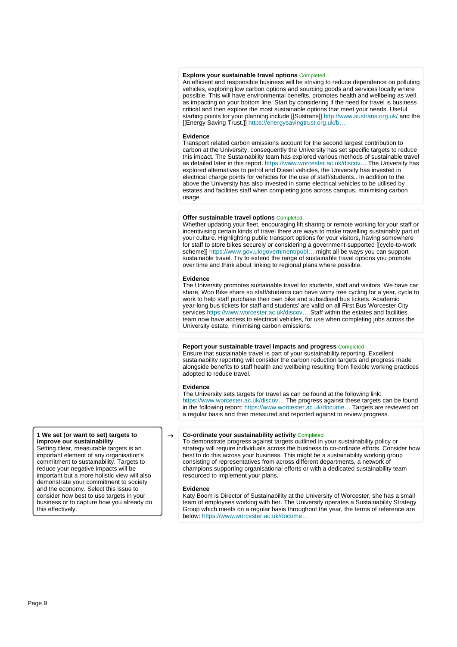# **Explore your sustainable travel options** Completed

An efficient and responsible business will be striving to reduce dependence on polluting vehicles, exploring low carbon options and sourcing goods and services locally where possible. This will have environmental benefits, promotes health and wellbeing as well as impacting on your bottom line. Start by considering if the need for travel is business critical and then explore the most sustainable options that meet your needs. Useful starting points for your planning include [[Sustrans]] <http://www.sustrans.org.uk/> and the [[Energy Saving Trust.]] [https://energysavingtrust.org.uk/b…](https://energysavingtrust.org.uk/business/transport)

#### **Evidence**

Transport related carbon emissions account for the second largest contribution to carbon at the University, consequently the University has set specific targets to reduce this impact. The Sustainability team has explored various methods of sustainable travel as detailed later in this report. [https://www.worcester.ac.uk/discov…](https://www.worcester.ac.uk/discover/transport-and-travel.html) The University has explored alternatives to petrol and Diesel vehicles, the University has invested in electrical charge points for vehicles for the use of staff/students.. In addition to the above the University has also invested in some electrical vehicles to be utilised by estates and facilities staff when completing jobs across campus, minimising carbon usage.

#### **Offer sustainable travel options** Completed

Whether updating your fleet, encouraging lift sharing or remote working for your staff or incentivising certain kinds of travel there are ways to make travelling sustainably part of your culture. Highlighting public transport options for your visitors, having somewhere for staff to store bikes securely or considering a government-supported [[cycle-to-work scheme]] [https://www.gov.uk/government/publ…](https://www.gov.uk/government/publications/cycle-to-work-scheme-implementation-guidance) might all be ways you can support sustainable travel. Try to extend the range of sustainable travel options you promote over time and think about linking to regional plans where possible.

#### **Evidence**

The University promotes sustainable travel for students, staff and visitors. We have car share, Woo Bike share so staff/students can have worry free cycling for a year, cycle to work to help staff purchase their own bike and subsidised bus tickets. Academic year-long bus tickets for staff and students' are valid on all First Bus Worcester City services https://www.worcester.ac.uk/discov... Staff within the estates and facilities team now have access to electrical vehicles, for use when completing jobs across the University estate, minimising carbon emissions.

#### **Report your sustainable travel impacts and progress** Completed

Ensure that sustainable travel is part of your sustainability reporting. Excellent sustainability reporting will consider the carbon reduction targets and progress made alongside benefits to staff health and wellbeing resulting from flexible working practices adopted to reduce travel.

#### **Evidence**

The University sets targets for travel as can be found at the following link: [https://www.worcester.ac.uk/discov…](https://www.worcester.ac.uk/discover/transport-and-travel.html) The progress against these targets can be found in the following report: [https://www.worcester.ac.uk/docume…](https://www.worcester.ac.uk/documents/Sustainability-targets-2020-2021.pdf) Targets are reviewed on a regular basis and then measured and reported against to review progress.

# $\rightarrow$  **Co-ordinate your sustainability activity** Completed

To demonstrate progress against targets outlined in your sustainability policy or strategy will require individuals across the business to co-ordinate efforts. Consider how best to do this across your business. This might be a sustainability working group consisting of representatives from across different departments, a network of champions supporting organisational efforts or with a dedicated sustainability team resourced to implement your plans.

#### **Evidence**

Katy Boom is Director of Sustainability at the University of Worcester, she has a small team of employees working with her. The University operates a Sustainability Strategy Group which meets on a regular basis throughout the year, the terms of reference are below: [https://www.worcester.ac.uk/docume…](https://www.worcester.ac.uk/documents/SSG-Terms-of-Reference-May-2021.pdf)

# **1 We set (or want to set) targets to improve our sustainability**

Setting clear, measurable targets is an important element of any organisation's commitment to sustainability. Targets to reduce your negative impacts will be important but a more holistic view will also demonstrate your commitment to society and the economy. Select this issue to consider how best to use targets in your business or to capture how you already do this effectively.